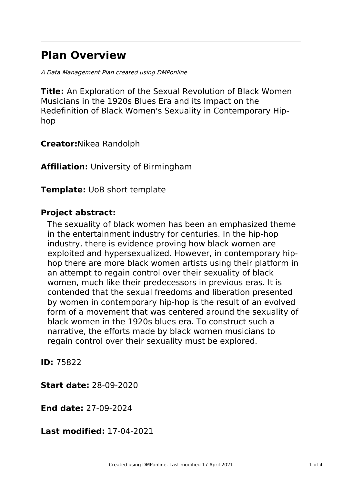# **Plan Overview**

A Data Management Plan created using DMPonline

**Title:** An Exploration of the Sexual Revolution of Black Women Musicians in the 1920s Blues Era and its Impact on the Redefinition of Black Women's Sexuality in Contemporary Hiphop

**Creator:**Nikea Randolph

**Affiliation:** University of Birmingham

**Template:** UoB short template

### **Project abstract:**

The sexuality of black women has been an emphasized theme in the entertainment industry for centuries. In the hip-hop industry, there is evidence proving how black women are exploited and hypersexualized. However, in contemporary hiphop there are more black women artists using their platform in an attempt to regain control over their sexuality of black women, much like their predecessors in previous eras. It is contended that the sexual freedoms and liberation presented by women in contemporary hip-hop is the result of an evolved form of a movement that was centered around the sexuality of black women in the 1920s blues era. To construct such a narrative, the efforts made by black women musicians to regain control over their sexuality must be explored.

**ID:** 75822

**Start date:** 28-09-2020

**End date:** 27-09-2024

**Last modified:** 17-04-2021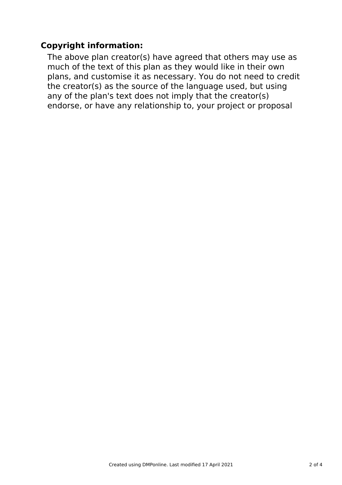# **Copyright information:**

The above plan creator(s) have agreed that others may use as much of the text of this plan as they would like in their own plans, and customise it as necessary. You do not need to credit the creator(s) as the source of the language used, but using any of the plan's text does not imply that the creator(s) endorse, or have any relationship to, your project or proposal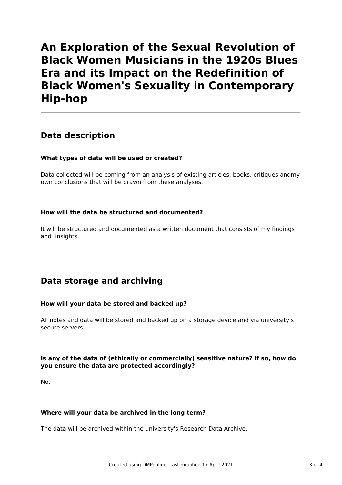# **An Exploration of the Sexual Revolution of Black Women Musicians in the 1920s Blues Era and its Impact on the Redefinition of Black Women's Sexuality in Contemporary Hip-hop**

## **Data description**

### **What types of data will be used or created?**

Data collected will be coming from an analysis of existing articles, books, critiques andmy own conclusions that will be drawn from these analyses.

### **How will the data be structured and documented?**

It will be structured and documented as a written document that consists of my findings and insights.

## **Data storage and archiving**

### **How will your data be stored and backed up?**

All notes and data will be stored and backed up on a storage device and via university's secure servers.

### **Is any of the data of (ethically or commercially) sensitive nature? If so, how do you ensure the data are protected accordingly?**

No.

### **Where will your data be archived in the long term?**

The data will be archived within the university's Research Data Archive.